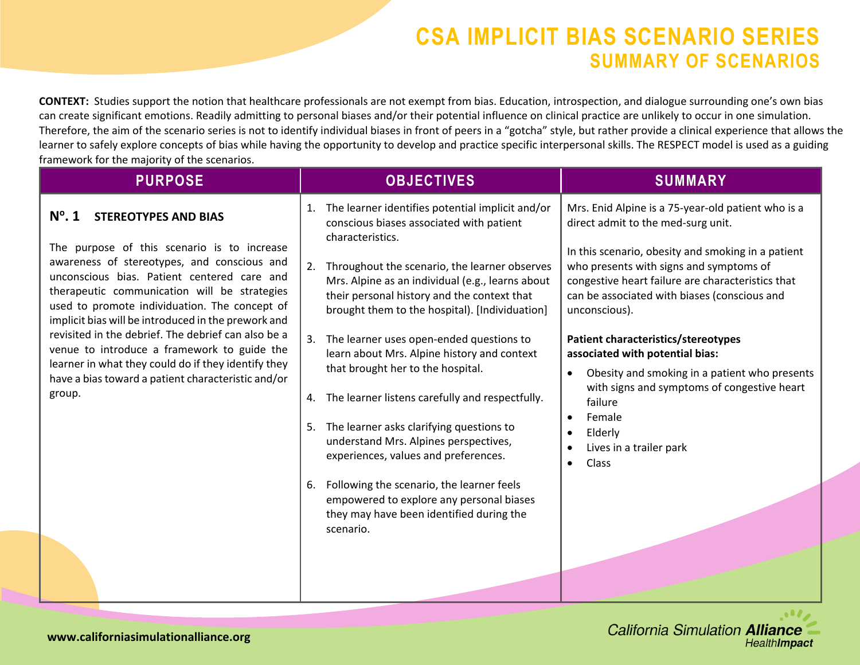**CONTEXT:** Studies support the notion that healthcare professionals are not exempt from bias. Education, introspection, and dialogue surrounding one's own bias can create significant emotions. Readily admitting to personal biases and/or their potential influence on clinical practice are unlikely to occur in one simulation. Therefore, the aim of the scenario series is not to identify individual biases in front of peers in a "gotcha" style, but rather provide a clinical experience that allows the learner to safely explore concepts of bias while having the opportunity to develop and practice specific interpersonal skills. The RESPECT model is used as a guiding framework for the majority of the scenarios.

| <b>PURPOSE</b>                                                                                                                                                                                                                                                                                                                                                                                                                                                                                                                                                                   | <b>OBJECTIVES</b>                                                                                                                                                                                                                                                                                                                                                                                                                                                                                                                                                                                                                                                                                                                                                                                    | <b>SUMMARY</b>                                                                                                                                                                                                                                                                                                                                                                                                                                                                                                                                                                                                                 |
|----------------------------------------------------------------------------------------------------------------------------------------------------------------------------------------------------------------------------------------------------------------------------------------------------------------------------------------------------------------------------------------------------------------------------------------------------------------------------------------------------------------------------------------------------------------------------------|------------------------------------------------------------------------------------------------------------------------------------------------------------------------------------------------------------------------------------------------------------------------------------------------------------------------------------------------------------------------------------------------------------------------------------------------------------------------------------------------------------------------------------------------------------------------------------------------------------------------------------------------------------------------------------------------------------------------------------------------------------------------------------------------------|--------------------------------------------------------------------------------------------------------------------------------------------------------------------------------------------------------------------------------------------------------------------------------------------------------------------------------------------------------------------------------------------------------------------------------------------------------------------------------------------------------------------------------------------------------------------------------------------------------------------------------|
| $N^{\circ}$ . 1<br><b>STEREOTYPES AND BIAS</b><br>The purpose of this scenario is to increase<br>awareness of stereotypes, and conscious and<br>unconscious bias. Patient centered care and<br>therapeutic communication will be strategies<br>used to promote individuation. The concept of<br>implicit bias will be introduced in the prework and<br>revisited in the debrief. The debrief can also be a<br>venue to introduce a framework to guide the<br>learner in what they could do if they identify they<br>have a bias toward a patient characteristic and/or<br>group. | The learner identifies potential implicit and/or<br>conscious biases associated with patient<br>characteristics.<br>Throughout the scenario, the learner observes<br>Mrs. Alpine as an individual (e.g., learns about<br>their personal history and the context that<br>brought them to the hospital). [Individuation]<br>3. The learner uses open-ended questions to<br>learn about Mrs. Alpine history and context<br>that brought her to the hospital.<br>4. The learner listens carefully and respectfully.<br>5. The learner asks clarifying questions to<br>understand Mrs. Alpines perspectives,<br>experiences, values and preferences.<br>6. Following the scenario, the learner feels<br>empowered to explore any personal biases<br>they may have been identified during the<br>scenario. | Mrs. Enid Alpine is a 75-year-old patient who is a<br>direct admit to the med-surg unit.<br>In this scenario, obesity and smoking in a patient<br>who presents with signs and symptoms of<br>congestive heart failure are characteristics that<br>can be associated with biases (conscious and<br>unconscious).<br>Patient characteristics/stereotypes<br>associated with potential bias:<br>Obesity and smoking in a patient who presents<br>$\bullet$<br>with signs and symptoms of congestive heart<br>failure<br>Female<br>$\bullet$<br>Elderly<br>$\bullet$<br>Lives in a trailer park<br>$\bullet$<br>Class<br>$\bullet$ |
|                                                                                                                                                                                                                                                                                                                                                                                                                                                                                                                                                                                  |                                                                                                                                                                                                                                                                                                                                                                                                                                                                                                                                                                                                                                                                                                                                                                                                      |                                                                                                                                                                                                                                                                                                                                                                                                                                                                                                                                                                                                                                |

**California Simulation Alliance** HealthImpact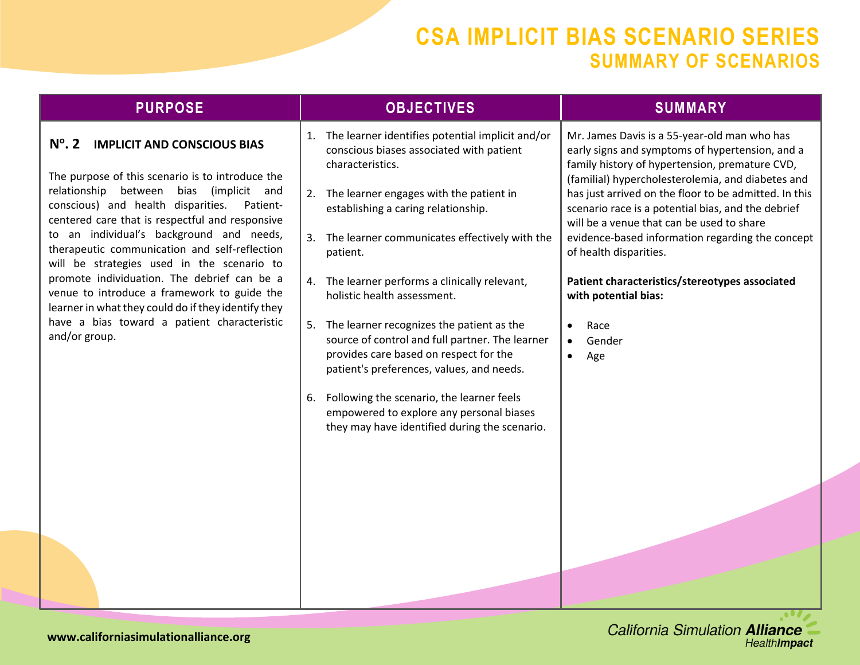| <b>PURPOSE</b>                                                                                                                                                                                                                                                                                                                                                                                                                                                                                                                                                                                                               | <b>OBJECTIVES</b>                                                                                                                                                                                                                                                                                                                                                                                                                                                                                                                                                                                                                                                                                | <b>SUMMARY</b>                                                                                                                                                                                                                                                                                                                                                                                                                                                                                                                                      |
|------------------------------------------------------------------------------------------------------------------------------------------------------------------------------------------------------------------------------------------------------------------------------------------------------------------------------------------------------------------------------------------------------------------------------------------------------------------------------------------------------------------------------------------------------------------------------------------------------------------------------|--------------------------------------------------------------------------------------------------------------------------------------------------------------------------------------------------------------------------------------------------------------------------------------------------------------------------------------------------------------------------------------------------------------------------------------------------------------------------------------------------------------------------------------------------------------------------------------------------------------------------------------------------------------------------------------------------|-----------------------------------------------------------------------------------------------------------------------------------------------------------------------------------------------------------------------------------------------------------------------------------------------------------------------------------------------------------------------------------------------------------------------------------------------------------------------------------------------------------------------------------------------------|
| $N^{\circ}$ . 2<br><b>IMPLICIT AND CONSCIOUS BIAS</b><br>The purpose of this scenario is to introduce the<br>relationship between bias<br>(implicit and<br>conscious) and health disparities.<br>Patient-<br>centered care that is respectful and responsive<br>to an individual's background and needs,<br>therapeutic communication and self-reflection<br>will be strategies used in the scenario to<br>promote individuation. The debrief can be a<br>venue to introduce a framework to guide the<br>learner in what they could do if they identify they<br>have a bias toward a patient characteristic<br>and/or group. | 1. The learner identifies potential implicit and/or<br>conscious biases associated with patient<br>characteristics.<br>2. The learner engages with the patient in<br>establishing a caring relationship.<br>3. The learner communicates effectively with the<br>patient.<br>4. The learner performs a clinically relevant,<br>holistic health assessment.<br>5. The learner recognizes the patient as the<br>source of control and full partner. The learner<br>provides care based on respect for the<br>patient's preferences, values, and needs.<br>6. Following the scenario, the learner feels<br>empowered to explore any personal biases<br>they may have identified during the scenario. | Mr. James Davis is a 55-year-old man who has<br>early signs and symptoms of hypertension, and a<br>family history of hypertension, premature CVD,<br>(familial) hypercholesterolemia, and diabetes and<br>has just arrived on the floor to be admitted. In this<br>scenario race is a potential bias, and the debrief<br>will be a venue that can be used to share<br>evidence-based information regarding the concept<br>of health disparities.<br>Patient characteristics/stereotypes associated<br>with potential bias:<br>Race<br>Gender<br>Age |
|                                                                                                                                                                                                                                                                                                                                                                                                                                                                                                                                                                                                                              |                                                                                                                                                                                                                                                                                                                                                                                                                                                                                                                                                                                                                                                                                                  |                                                                                                                                                                                                                                                                                                                                                                                                                                                                                                                                                     |
|                                                                                                                                                                                                                                                                                                                                                                                                                                                                                                                                                                                                                              |                                                                                                                                                                                                                                                                                                                                                                                                                                                                                                                                                                                                                                                                                                  |                                                                                                                                                                                                                                                                                                                                                                                                                                                                                                                                                     |

 $\bullet$  .  $\bullet$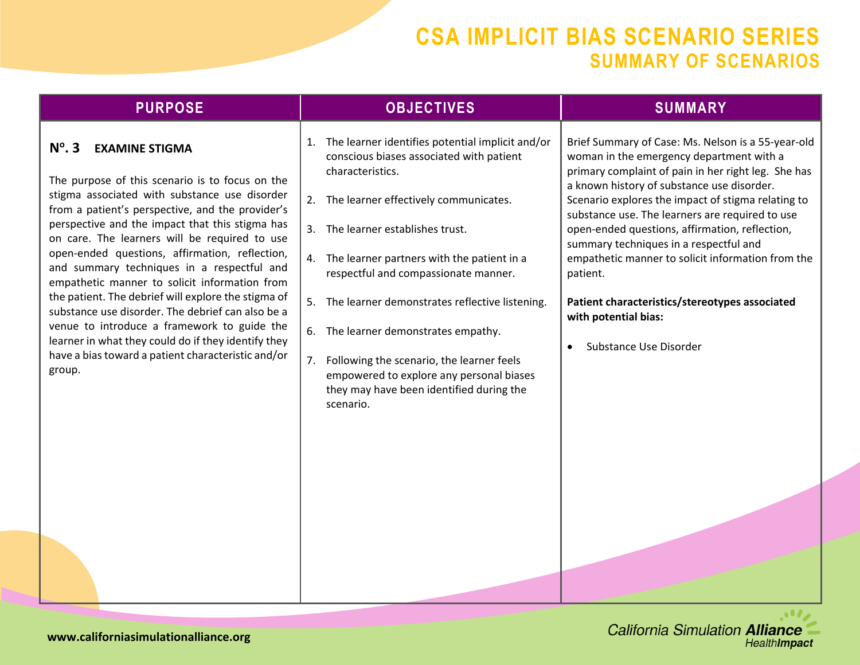| <b>PURPOSE</b>                                                                                                                                                                                                                                                                                                                                                                                                                                                                                                                                                                                                                                                                                                                          | <b>OBJECTIVES</b>                                                                                                                                                                                                                                                                                                                                                                                                                                                                                                                                  | <b>SUMMARY</b>                                                                                                                                                                                                                                                                                                                                                                                                                                                                                                                                                                             |
|-----------------------------------------------------------------------------------------------------------------------------------------------------------------------------------------------------------------------------------------------------------------------------------------------------------------------------------------------------------------------------------------------------------------------------------------------------------------------------------------------------------------------------------------------------------------------------------------------------------------------------------------------------------------------------------------------------------------------------------------|----------------------------------------------------------------------------------------------------------------------------------------------------------------------------------------------------------------------------------------------------------------------------------------------------------------------------------------------------------------------------------------------------------------------------------------------------------------------------------------------------------------------------------------------------|--------------------------------------------------------------------------------------------------------------------------------------------------------------------------------------------------------------------------------------------------------------------------------------------------------------------------------------------------------------------------------------------------------------------------------------------------------------------------------------------------------------------------------------------------------------------------------------------|
| $N^{\circ}$ . 3<br><b>EXAMINE STIGMA</b><br>The purpose of this scenario is to focus on the<br>stigma associated with substance use disorder<br>from a patient's perspective, and the provider's<br>perspective and the impact that this stigma has<br>on care. The learners will be required to use<br>open-ended questions, affirmation, reflection,<br>and summary techniques in a respectful and<br>empathetic manner to solicit information from<br>the patient. The debrief will explore the stigma of<br>substance use disorder. The debrief can also be a<br>venue to introduce a framework to guide the<br>learner in what they could do if they identify they<br>have a bias toward a patient characteristic and/or<br>group. | The learner identifies potential implicit and/or<br>1.<br>conscious biases associated with patient<br>characteristics.<br>The learner effectively communicates.<br>The learner establishes trust.<br>3.<br>The learner partners with the patient in a<br>respectful and compassionate manner.<br>5. The learner demonstrates reflective listening.<br>6. The learner demonstrates empathy.<br>Following the scenario, the learner feels<br>7.<br>empowered to explore any personal biases<br>they may have been identified during the<br>scenario. | Brief Summary of Case: Ms. Nelson is a 55-year-old<br>woman in the emergency department with a<br>primary complaint of pain in her right leg. She has<br>a known history of substance use disorder.<br>Scenario explores the impact of stigma relating to<br>substance use. The learners are required to use<br>open-ended questions, affirmation, reflection,<br>summary techniques in a respectful and<br>empathetic manner to solicit information from the<br>patient.<br>Patient characteristics/stereotypes associated<br>with potential bias:<br>Substance Use Disorder<br>$\bullet$ |

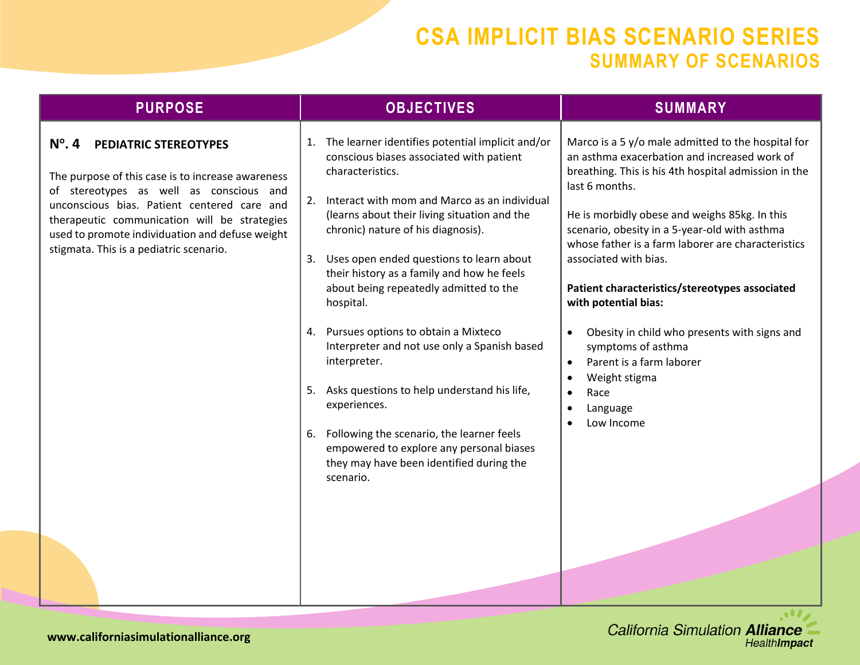|                                                                                                                                                                                                                                                                                                                                                                                                                                                                                                                                                                                                                                                                                                                                                                                                                                                                                                                                                                                                                                                                                                                                                                                                                                                                                                                                                       | <b>OBJECTIVES</b><br><b>SUMMARY</b>                                                                                                                                                                                                                                                                                                                                 | <b>PURPOSE</b> |
|-------------------------------------------------------------------------------------------------------------------------------------------------------------------------------------------------------------------------------------------------------------------------------------------------------------------------------------------------------------------------------------------------------------------------------------------------------------------------------------------------------------------------------------------------------------------------------------------------------------------------------------------------------------------------------------------------------------------------------------------------------------------------------------------------------------------------------------------------------------------------------------------------------------------------------------------------------------------------------------------------------------------------------------------------------------------------------------------------------------------------------------------------------------------------------------------------------------------------------------------------------------------------------------------------------------------------------------------------------|---------------------------------------------------------------------------------------------------------------------------------------------------------------------------------------------------------------------------------------------------------------------------------------------------------------------------------------------------------------------|----------------|
| 1. The learner identifies potential implicit and/or<br>$N^\circ$ . 4<br><b>PEDIATRIC STEREOTYPES</b><br>conscious biases associated with patient<br>characteristics.<br>The purpose of this case is to increase awareness<br>last 6 months.<br>of stereotypes as well as conscious and<br>2. Interact with mom and Marco as an individual<br>unconscious bias. Patient centered care and<br>(learns about their living situation and the<br>therapeutic communication will be strategies<br>chronic) nature of his diagnosis).<br>scenario, obesity in a 5-year-old with asthma<br>used to promote individuation and defuse weight<br>stigmata. This is a pediatric scenario.<br>Uses open ended questions to learn about<br>associated with bias.<br>3.<br>their history as a family and how he feels<br>about being repeatedly admitted to the<br>hospital.<br>with potential bias:<br>4. Pursues options to obtain a Mixteco<br>Interpreter and not use only a Spanish based<br>symptoms of asthma<br>interpreter.<br>Parent is a farm laborer<br>$\bullet$<br>Weight stigma<br>5. Asks questions to help understand his life,<br>Race<br>$\bullet$<br>experiences.<br>Language<br>Low Income<br>6. Following the scenario, the learner feels<br>empowered to explore any personal biases<br>they may have been identified during the<br>scenario. | Marco is a 5 y/o male admitted to the hospital for<br>an asthma exacerbation and increased work of<br>breathing. This is his 4th hospital admission in the<br>He is morbidly obese and weighs 85kg. In this<br>whose father is a farm laborer are characteristics<br>Patient characteristics/stereotypes associated<br>Obesity in child who presents with signs and |                |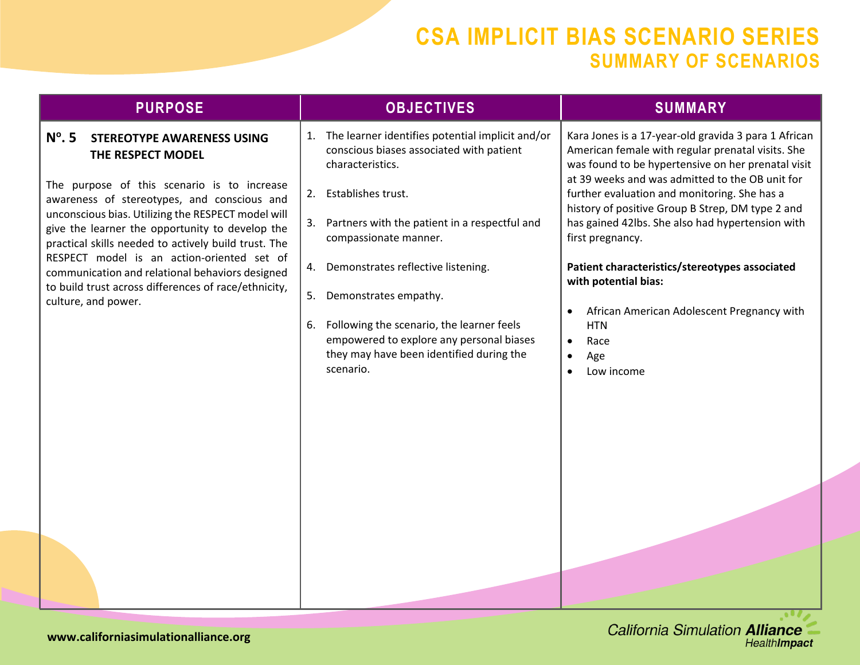| <b>PURPOSE</b>                                                                                                                                                                                                                                                                                                                                                                                                                                                                                                           | <b>OBJECTIVES</b>                                                                                                                                                                                                                                                                                                                                                                                                                                   | <b>SUMMARY</b>                                                                                                                                                                                                                                                                                                                                                                                                                                                                                                                                                                                                        |
|--------------------------------------------------------------------------------------------------------------------------------------------------------------------------------------------------------------------------------------------------------------------------------------------------------------------------------------------------------------------------------------------------------------------------------------------------------------------------------------------------------------------------|-----------------------------------------------------------------------------------------------------------------------------------------------------------------------------------------------------------------------------------------------------------------------------------------------------------------------------------------------------------------------------------------------------------------------------------------------------|-----------------------------------------------------------------------------------------------------------------------------------------------------------------------------------------------------------------------------------------------------------------------------------------------------------------------------------------------------------------------------------------------------------------------------------------------------------------------------------------------------------------------------------------------------------------------------------------------------------------------|
| $N^{\circ}$ . 5<br><b>STEREOTYPE AWARENESS USING</b><br>THE RESPECT MODEL<br>The purpose of this scenario is to increase<br>awareness of stereotypes, and conscious and<br>unconscious bias. Utilizing the RESPECT model will<br>give the learner the opportunity to develop the<br>practical skills needed to actively build trust. The<br>RESPECT model is an action-oriented set of<br>communication and relational behaviors designed<br>to build trust across differences of race/ethnicity,<br>culture, and power. | 1. The learner identifies potential implicit and/or<br>conscious biases associated with patient<br>characteristics.<br>2. Establishes trust.<br>3. Partners with the patient in a respectful and<br>compassionate manner.<br>4. Demonstrates reflective listening.<br>5. Demonstrates empathy.<br>6. Following the scenario, the learner feels<br>empowered to explore any personal biases<br>they may have been identified during the<br>scenario. | Kara Jones is a 17-year-old gravida 3 para 1 African<br>American female with regular prenatal visits. She<br>was found to be hypertensive on her prenatal visit<br>at 39 weeks and was admitted to the OB unit for<br>further evaluation and monitoring. She has a<br>history of positive Group B Strep, DM type 2 and<br>has gained 42lbs. She also had hypertension with<br>first pregnancy.<br>Patient characteristics/stereotypes associated<br>with potential bias:<br>African American Adolescent Pregnancy with<br>$\bullet$<br><b>HTN</b><br>Race<br>$\bullet$<br>Age<br>$\bullet$<br>Low income<br>$\bullet$ |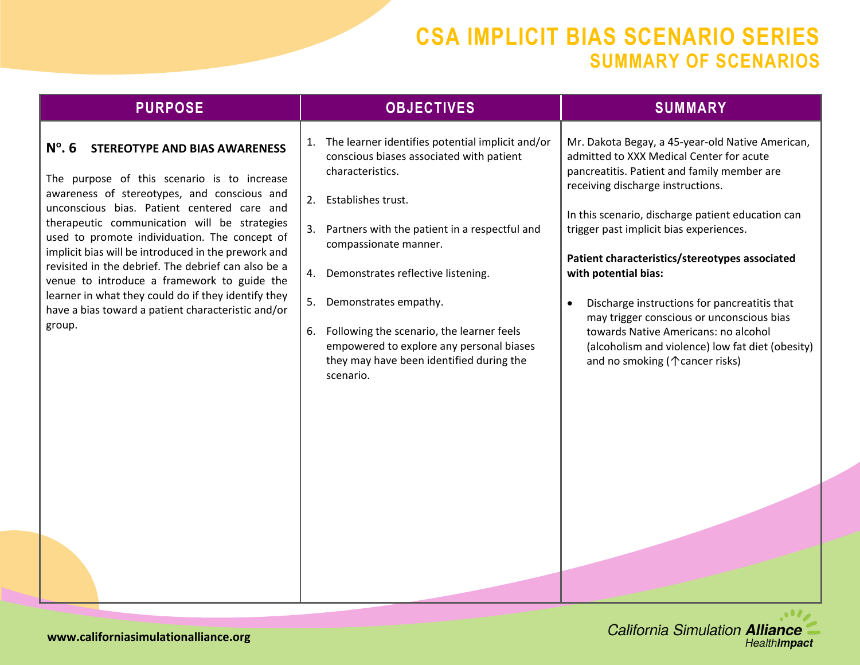| 1. The learner identifies potential implicit and/or<br>Mr. Dakota Begay, a 45-year-old Native American,<br>$N^{\circ}$ . 6<br><b>STEREOTYPE AND BIAS AWARENESS</b><br>conscious biases associated with patient<br>admitted to XXX Medical Center for acute<br>characteristics.<br>pancreatitis. Patient and family member are<br>The purpose of this scenario is to increase<br>receiving discharge instructions.<br>awareness of stereotypes, and conscious and<br>Establishes trust.<br>2.<br>unconscious bias. Patient centered care and<br>In this scenario, discharge patient education can<br>therapeutic communication will be strategies<br>3. Partners with the patient in a respectful and<br>trigger past implicit bias experiences.<br>used to promote individuation. The concept of<br>compassionate manner.<br>implicit bias will be introduced in the prework and<br>Patient characteristics/stereotypes associated<br>revisited in the debrief. The debrief can also be a<br>4. Demonstrates reflective listening.<br>with potential bias:<br>venue to introduce a framework to guide the<br>learner in what they could do if they identify they<br>5. Demonstrates empathy.<br>Discharge instructions for pancreatitis that<br>$\bullet$<br>have a bias toward a patient characteristic and/or<br>may trigger conscious or unconscious bias<br>group.<br>Following the scenario, the learner feels<br>towards Native Americans: no alcohol<br>6.<br>empowered to explore any personal biases<br>(alcoholism and violence) low fat diet (obesity)<br>they may have been identified during the<br>and no smoking ( $\uparrow$ cancer risks)<br>scenario. | <b>PURPOSE</b> | <b>OBJECTIVES</b> | <b>SUMMARY</b> |
|-------------------------------------------------------------------------------------------------------------------------------------------------------------------------------------------------------------------------------------------------------------------------------------------------------------------------------------------------------------------------------------------------------------------------------------------------------------------------------------------------------------------------------------------------------------------------------------------------------------------------------------------------------------------------------------------------------------------------------------------------------------------------------------------------------------------------------------------------------------------------------------------------------------------------------------------------------------------------------------------------------------------------------------------------------------------------------------------------------------------------------------------------------------------------------------------------------------------------------------------------------------------------------------------------------------------------------------------------------------------------------------------------------------------------------------------------------------------------------------------------------------------------------------------------------------------------------------------------------------------------------------------------------------------------|----------------|-------------------|----------------|
|                                                                                                                                                                                                                                                                                                                                                                                                                                                                                                                                                                                                                                                                                                                                                                                                                                                                                                                                                                                                                                                                                                                                                                                                                                                                                                                                                                                                                                                                                                                                                                                                                                                                         |                |                   |                |

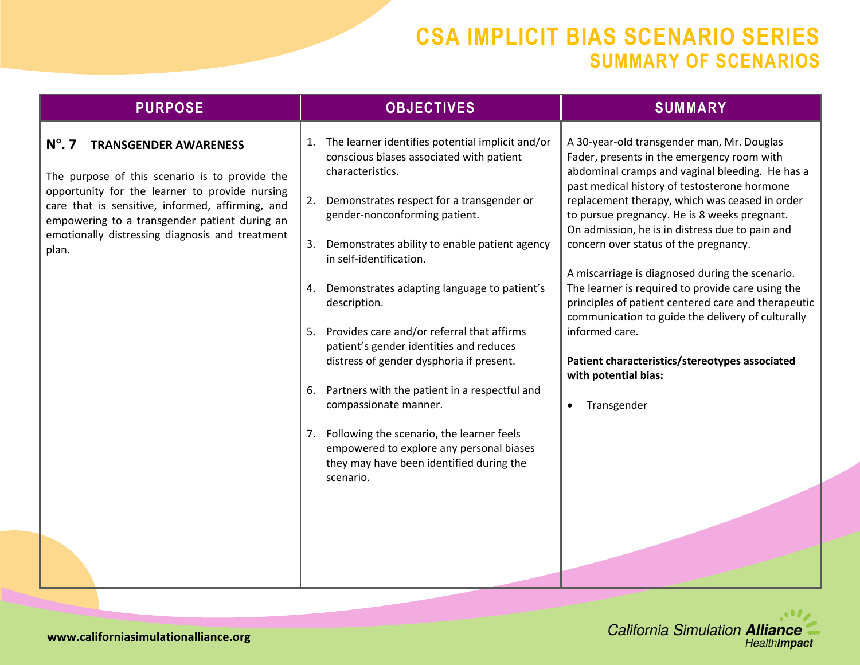| <b>PURPOSE</b>                                                                                                                                                                                                                                                                                                       | <b>OBJECTIVES</b>                                                                                                                                                                                                                                                                                                                                                                                                                                                                                                                                                             | <b>SUMMARY</b>                                                                                                                                                                                                                                                                                                                                                                                                                                                                                                                                                                                                                                                                                                                        |
|----------------------------------------------------------------------------------------------------------------------------------------------------------------------------------------------------------------------------------------------------------------------------------------------------------------------|-------------------------------------------------------------------------------------------------------------------------------------------------------------------------------------------------------------------------------------------------------------------------------------------------------------------------------------------------------------------------------------------------------------------------------------------------------------------------------------------------------------------------------------------------------------------------------|---------------------------------------------------------------------------------------------------------------------------------------------------------------------------------------------------------------------------------------------------------------------------------------------------------------------------------------------------------------------------------------------------------------------------------------------------------------------------------------------------------------------------------------------------------------------------------------------------------------------------------------------------------------------------------------------------------------------------------------|
| $N^{\circ}$ . 7<br><b>TRANSGENDER AWARENESS</b><br>The purpose of this scenario is to provide the<br>opportunity for the learner to provide nursing<br>care that is sensitive, informed, affirming, and<br>empowering to a transgender patient during an<br>emotionally distressing diagnosis and treatment<br>plan. | 1. The learner identifies potential implicit and/or<br>conscious biases associated with patient<br>characteristics.<br>2. Demonstrates respect for a transgender or<br>gender-nonconforming patient.<br>Demonstrates ability to enable patient agency<br>3.<br>in self-identification.<br>4. Demonstrates adapting language to patient's<br>description.<br>5. Provides care and/or referral that affirms<br>patient's gender identities and reduces<br>distress of gender dysphoria if present.<br>6. Partners with the patient in a respectful and<br>compassionate manner. | A 30-year-old transgender man, Mr. Douglas<br>Fader, presents in the emergency room with<br>abdominal cramps and vaginal bleeding. He has a<br>past medical history of testosterone hormone<br>replacement therapy, which was ceased in order<br>to pursue pregnancy. He is 8 weeks pregnant.<br>On admission, he is in distress due to pain and<br>concern over status of the pregnancy.<br>A miscarriage is diagnosed during the scenario.<br>The learner is required to provide care using the<br>principles of patient centered care and therapeutic<br>communication to guide the delivery of culturally<br>informed care.<br>Patient characteristics/stereotypes associated<br>with potential bias:<br>Transgender<br>$\bullet$ |
|                                                                                                                                                                                                                                                                                                                      | Following the scenario, the learner feels<br>7.<br>empowered to explore any personal biases<br>they may have been identified during the<br>scenario.                                                                                                                                                                                                                                                                                                                                                                                                                          |                                                                                                                                                                                                                                                                                                                                                                                                                                                                                                                                                                                                                                                                                                                                       |